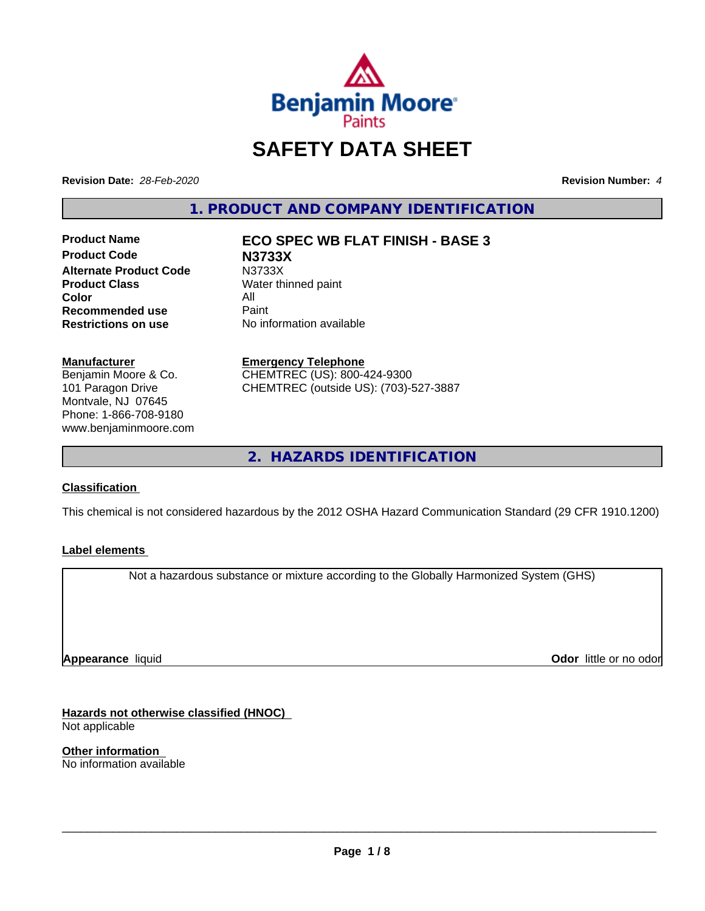

# **SAFETY DATA SHEET**

**Revision Date:** *28-Feb-2020* **Revision Number:** *4*

**1. PRODUCT AND COMPANY IDENTIFICATION**

**Product Code N3733X Alternate Product Code M3733X**<br> **Product Class Mater th Color** All<br> **Recommended use** Paint **Recommended use**<br>Restrictions on use

**Product Name ECO SPEC WB FLAT FINISH - BASE 3**

**Water thinned paint No information available** 

# **Manufacturer**

Benjamin Moore & Co. 101 Paragon Drive Montvale, NJ 07645 Phone: 1-866-708-9180 www.benjaminmoore.com

# **Emergency Telephone**

CHEMTREC (US): 800-424-9300 CHEMTREC (outside US): (703)-527-3887

**2. HAZARDS IDENTIFICATION**

# **Classification**

This chemical is not considered hazardous by the 2012 OSHA Hazard Communication Standard (29 CFR 1910.1200)

# **Label elements**

Not a hazardous substance or mixture according to the Globally Harmonized System (GHS)

**Appearance** liquid

**Odor** little or no odor

**Hazards not otherwise classified (HNOC)** Not applicable

**Other information** No information available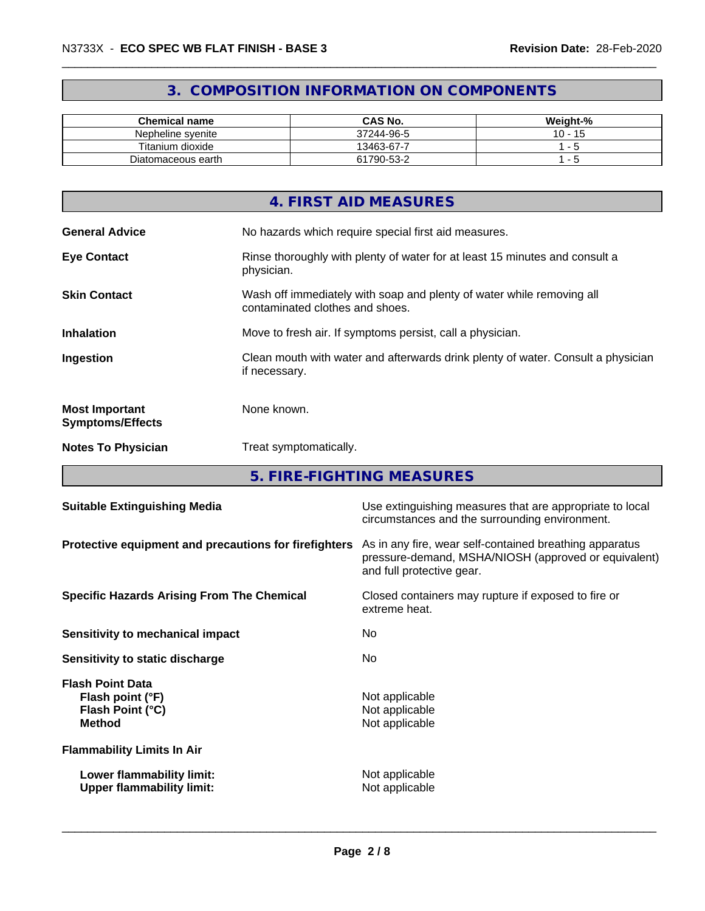# **3. COMPOSITION INFORMATION ON COMPONENTS**

| <b>Chemical name</b> | <b>CAS No.</b> | Weight-%                    |
|----------------------|----------------|-----------------------------|
| Nepheline syenite    | 37244-96-5     | 10<br>$\overline{A}$<br>. . |
| Titanium dioxide     | 13463-67-7     |                             |
| Diatomaceous earth   | 61790-53-2     |                             |

|                                                  | 4. FIRST AID MEASURES                                                                                    |
|--------------------------------------------------|----------------------------------------------------------------------------------------------------------|
| <b>General Advice</b>                            | No hazards which require special first aid measures.                                                     |
| <b>Eye Contact</b>                               | Rinse thoroughly with plenty of water for at least 15 minutes and consult a<br>physician.                |
| <b>Skin Contact</b>                              | Wash off immediately with soap and plenty of water while removing all<br>contaminated clothes and shoes. |
| <b>Inhalation</b>                                | Move to fresh air. If symptoms persist, call a physician.                                                |
| Ingestion                                        | Clean mouth with water and afterwards drink plenty of water. Consult a physician<br>if necessary.        |
| <b>Most Important</b><br><b>Symptoms/Effects</b> | None known.                                                                                              |
| <b>Notes To Physician</b>                        | Treat symptomatically.                                                                                   |
|                                                  |                                                                                                          |

**5. FIRE-FIGHTING MEASURES**

| <b>Suitable Extinguishing Media</b>                                              | Use extinguishing measures that are appropriate to local<br>circumstances and the surrounding environment.                                   |
|----------------------------------------------------------------------------------|----------------------------------------------------------------------------------------------------------------------------------------------|
| Protective equipment and precautions for firefighters                            | As in any fire, wear self-contained breathing apparatus<br>pressure-demand, MSHA/NIOSH (approved or equivalent)<br>and full protective gear. |
| <b>Specific Hazards Arising From The Chemical</b>                                | Closed containers may rupture if exposed to fire or<br>extreme heat.                                                                         |
| Sensitivity to mechanical impact                                                 | No.                                                                                                                                          |
| Sensitivity to static discharge                                                  | No.                                                                                                                                          |
| <b>Flash Point Data</b><br>Flash point (°F)<br>Flash Point (°C)<br><b>Method</b> | Not applicable<br>Not applicable<br>Not applicable                                                                                           |
| <b>Flammability Limits In Air</b>                                                |                                                                                                                                              |
| Lower flammability limit:<br><b>Upper flammability limit:</b>                    | Not applicable<br>Not applicable                                                                                                             |
|                                                                                  |                                                                                                                                              |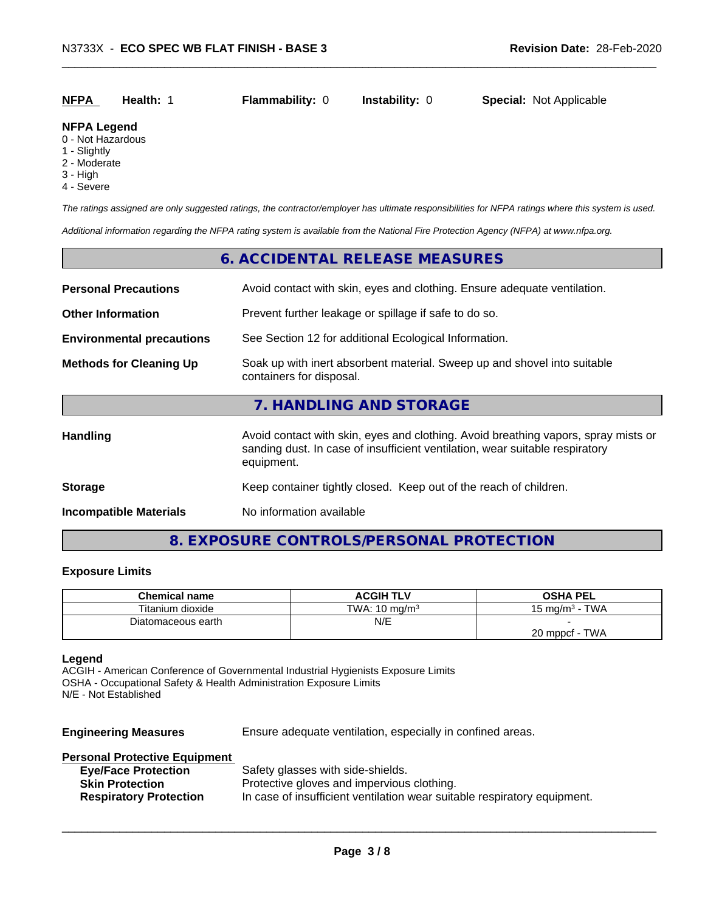| <b>NFPA</b> | <b>Health: 1</b> | <b>Flammability: 0</b> | Instability: 0 | <b>Special: Not Applicable</b> |  |
|-------------|------------------|------------------------|----------------|--------------------------------|--|
|             |                  |                        |                |                                |  |

#### **NFPA Legend**

- 0 Not Hazardous
- 1 Slightly
- 2 Moderate
- 3 High
- 4 Severe

*The ratings assigned are only suggested ratings, the contractor/employer has ultimate responsibilities for NFPA ratings where this system is used.*

*Additional information regarding the NFPA rating system is available from the National Fire Protection Agency (NFPA) at www.nfpa.org.*

# **6. ACCIDENTAL RELEASE MEASURES Personal Precautions** Avoid contact with skin, eyes and clothing. Ensure adequate ventilation.

| Personal Precautions             | Avoid contact with skin, eyes and clothing. Ensure adequate ventilation.                                                                                                         |
|----------------------------------|----------------------------------------------------------------------------------------------------------------------------------------------------------------------------------|
| <b>Other Information</b>         | Prevent further leakage or spillage if safe to do so.                                                                                                                            |
| <b>Environmental precautions</b> | See Section 12 for additional Ecological Information.                                                                                                                            |
| <b>Methods for Cleaning Up</b>   | Soak up with inert absorbent material. Sweep up and shovel into suitable<br>containers for disposal.                                                                             |
|                                  | 7. HANDLING AND STORAGE                                                                                                                                                          |
| <b>Handling</b>                  | Avoid contact with skin, eyes and clothing. Avoid breathing vapors, spray mists or<br>sanding dust. In case of insufficient ventilation, wear suitable respiratory<br>equipment. |
| <b>Storage</b>                   | Keep container tightly closed. Keep out of the reach of children.                                                                                                                |
| <b>Incompatible Materials</b>    | No information available                                                                                                                                                         |
|                                  |                                                                                                                                                                                  |

# **8. EXPOSURE CONTROLS/PERSONAL PROTECTION**

#### **Exposure Limits**

| <b>Chemical name</b> | <b>ACGIH TLV</b>         | <b>OSHA PEL</b>         |
|----------------------|--------------------------|-------------------------|
| Titanium dioxide     | TWA: $10 \text{ ma/m}^3$ | - TWA<br>15 ma/m $^3\,$ |
| Diatomaceous earth   | N/E                      |                         |
|                      |                          | <b>TWA</b><br>20 mppcf  |

#### **Legend**

ACGIH - American Conference of Governmental Industrial Hygienists Exposure Limits OSHA - Occupational Safety & Health Administration Exposure Limits N/E - Not Established

**Engineering Measures** Ensure adequate ventilation, especially in confined areas.

 $\overline{\phantom{a}}$  ,  $\overline{\phantom{a}}$  ,  $\overline{\phantom{a}}$  ,  $\overline{\phantom{a}}$  ,  $\overline{\phantom{a}}$  ,  $\overline{\phantom{a}}$  ,  $\overline{\phantom{a}}$  ,  $\overline{\phantom{a}}$  ,  $\overline{\phantom{a}}$  ,  $\overline{\phantom{a}}$  ,  $\overline{\phantom{a}}$  ,  $\overline{\phantom{a}}$  ,  $\overline{\phantom{a}}$  ,  $\overline{\phantom{a}}$  ,  $\overline{\phantom{a}}$  ,  $\overline{\phantom{a}}$ 

# **Personal Protective Equipment**

| <b>Eye/Face Protection</b>    | Safety glasses with side-shields.                                        |
|-------------------------------|--------------------------------------------------------------------------|
| <b>Skin Protection</b>        | Protective gloves and impervious clothing.                               |
| <b>Respiratory Protection</b> | In case of insufficient ventilation wear suitable respiratory equipment. |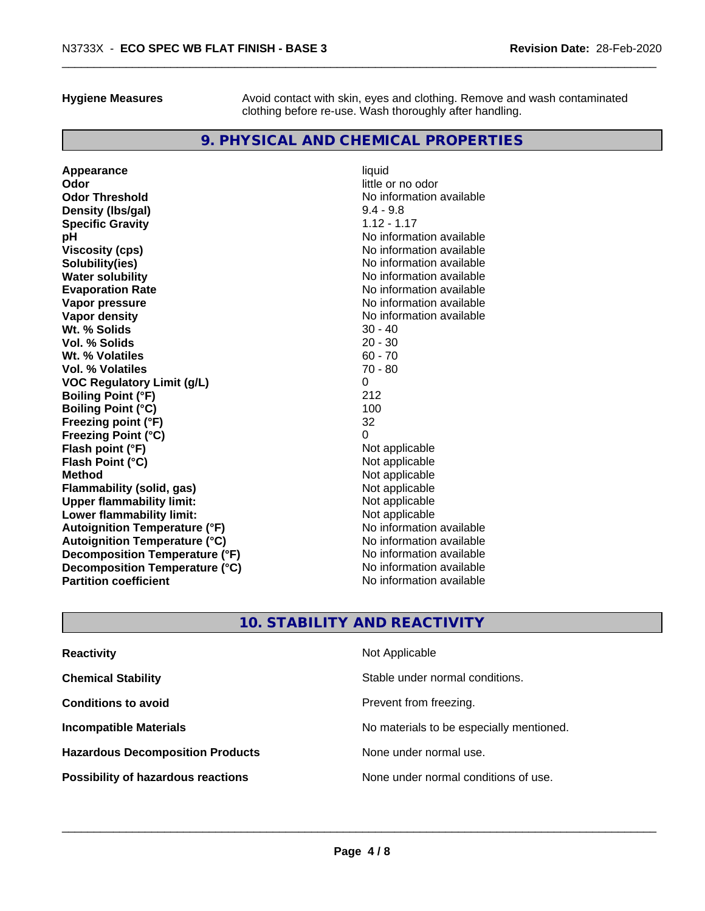**Hygiene Measures** Avoid contact with skin, eyes and clothing. Remove and wash contaminated clothing before re-use. Wash thoroughly after handling.

# **9. PHYSICAL AND CHEMICAL PROPERTIES**

**Appearance** liquid **and a liquid contract of the contract of the contract of the contract of the contract of the contract of the contract of the contract of the contract of the contract of the contract of the contract of Odor Threshold No information available No information available Density (Ibs/gal)** 9.4 - 9.8<br> **Specific Gravity** 1.12 - 1.17 **Specific Gravity pH**<br>
Viscosity (cps) The Contract of Contract Contract Contract Contract Contract Contract No information available **Solubility(ies)** No information available **Water solubility** No information available **Evaporation Rate No information available No information available Vapor pressure** No information available **Vapor density**<br> **We Solids**<br>
We Solids
20 - 40 **Wt. % Solids** 30 - 40<br> **Vol. % Solids** 20 - 30 **Vol. % Solids Wt. % Volatiles** 60 - 70 **Vol. % Volatiles VOC Regulatory Limit (g/L)** 0 **Boiling Point (°F)** 212 **Boiling Point**  $(^{\circ}C)$  100 **Freezing point (°F)** 32 **Freezing Point (°C)** 0 **Flash point (°F)**<br> **Flash Point (°C)**<br> **Flash Point (°C)**<br> **Not** applicable **Flash Point (°C)**<br>Method **Flammability** (solid, gas) **Upper flammability limit:**<br> **Lower flammability limit:** Not applicable Not applicable **Lower flammability limit:**<br> **Autoignition Temperature (°F)** Not applicable have not available **Autoignition Temperature (°F) Autoignition Temperature (°C)** No information available **Decomposition Temperature (°F)** No information available **Decomposition Temperature (°C)** No information available **Partition coefficient** and the settlement of the settlement of the No information available

**Odor** little or no odor **Viscosity (cps)** No information available **Not applicable**<br>Not applicable

# **10. STABILITY AND REACTIVITY**

| <b>Reactivity</b>                         | Not Applicable                           |
|-------------------------------------------|------------------------------------------|
| <b>Chemical Stability</b>                 | Stable under normal conditions.          |
| <b>Conditions to avoid</b>                | Prevent from freezing.                   |
| <b>Incompatible Materials</b>             | No materials to be especially mentioned. |
| <b>Hazardous Decomposition Products</b>   | None under normal use.                   |
| <b>Possibility of hazardous reactions</b> | None under normal conditions of use.     |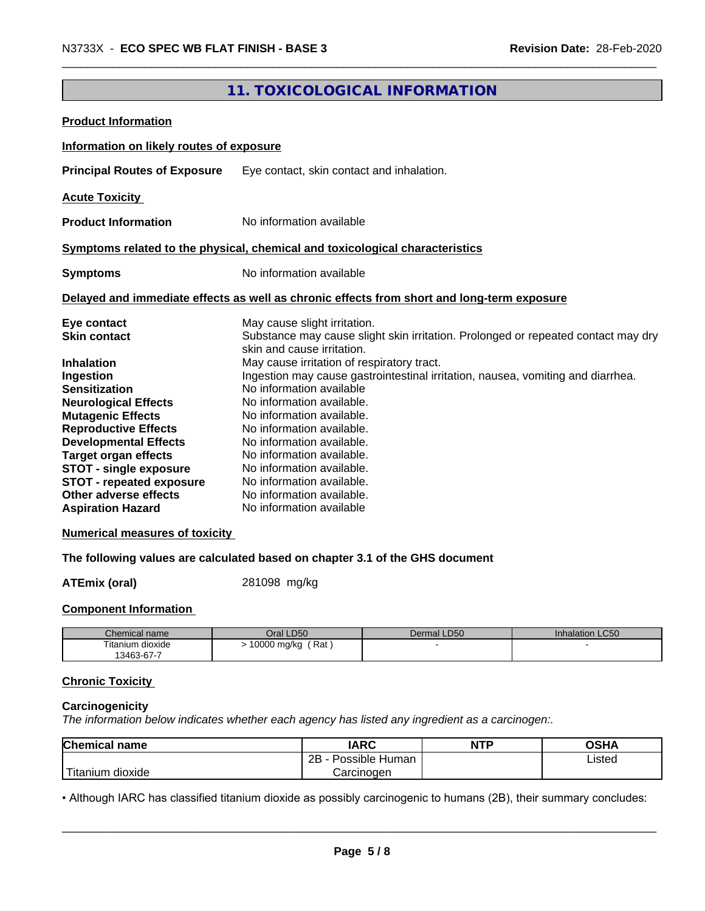# **11. TOXICOLOGICAL INFORMATION**

| <b>Product Information</b>                                                                 |                                                                                                                 |  |
|--------------------------------------------------------------------------------------------|-----------------------------------------------------------------------------------------------------------------|--|
| Information on likely routes of exposure                                                   |                                                                                                                 |  |
| <b>Principal Routes of Exposure</b>                                                        | Eye contact, skin contact and inhalation.                                                                       |  |
| <b>Acute Toxicity</b>                                                                      |                                                                                                                 |  |
| <b>Product Information</b>                                                                 | No information available                                                                                        |  |
| Symptoms related to the physical, chemical and toxicological characteristics               |                                                                                                                 |  |
| <b>Symptoms</b>                                                                            | No information available                                                                                        |  |
| Delayed and immediate effects as well as chronic effects from short and long-term exposure |                                                                                                                 |  |
| Eye contact                                                                                | May cause slight irritation.                                                                                    |  |
| <b>Skin contact</b>                                                                        | Substance may cause slight skin irritation. Prolonged or repeated contact may dry<br>skin and cause irritation. |  |
| <b>Inhalation</b>                                                                          | May cause irritation of respiratory tract.                                                                      |  |
| Ingestion                                                                                  | Ingestion may cause gastrointestinal irritation, nausea, vomiting and diarrhea.                                 |  |
| <b>Sensitization</b>                                                                       | No information available                                                                                        |  |
| <b>Neurological Effects</b>                                                                | No information available.                                                                                       |  |
| <b>Mutagenic Effects</b>                                                                   | No information available.                                                                                       |  |
| <b>Reproductive Effects</b>                                                                | No information available.                                                                                       |  |
| <b>Developmental Effects</b>                                                               | No information available.                                                                                       |  |
| <b>Target organ effects</b>                                                                | No information available.                                                                                       |  |
| STOT - single exposure                                                                     | No information available.                                                                                       |  |
| <b>STOT - repeated exposure</b>                                                            | No information available.                                                                                       |  |
| Other adverse effects                                                                      | No information available.                                                                                       |  |
| <b>Aspiration Hazard</b>                                                                   | No information available                                                                                        |  |

#### **Numerical measures of toxicity**

# **The following values are calculated based on chapter 3.1 of the GHS document**

**ATEmix (oral)** 281098 mg/kg

#### **Component Information**

| Chemical name    | Oral LD50          | Dermal LD50 | <b>Inhalation LC50</b> |
|------------------|--------------------|-------------|------------------------|
| Titanium dioxide | 10000 mg/kg<br>Rat |             |                        |
| 13463-67-7       |                    |             |                        |

# **Chronic Toxicity**

#### **Carcinogenicity**

*The information below indicateswhether each agency has listed any ingredient as a carcinogen:.*

| <b>Chemical name</b>    | <b>IARC</b>          | <b>NTP</b> | OSHA   |
|-------------------------|----------------------|------------|--------|
|                         | 2B<br>Possible Human |            | Listed |
| ' Titanium<br>m dioxide | Carcinoɑen           |            |        |

• Although IARC has classified titanium dioxide as possibly carcinogenic to humans (2B), their summary concludes:<br> **Page 5/8**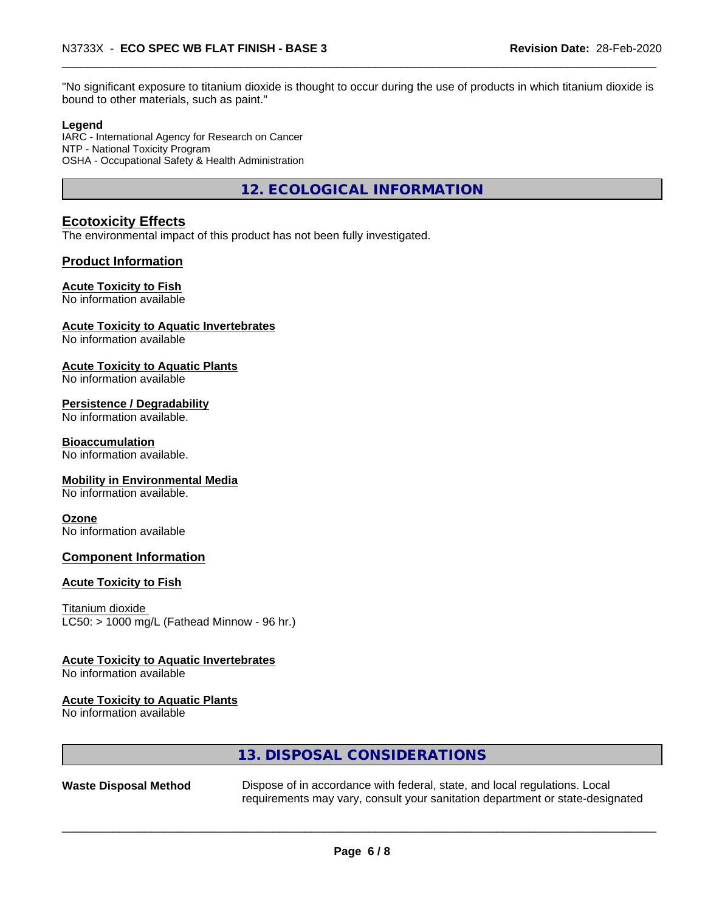"No significant exposure to titanium dioxide is thought to occur during the use of products in which titanium dioxide is bound to other materials, such as paint."

#### **Legend**

IARC - International Agency for Research on Cancer NTP - National Toxicity Program OSHA - Occupational Safety & Health Administration

**12. ECOLOGICAL INFORMATION**

### **Ecotoxicity Effects**

The environmental impact of this product has not been fully investigated.

#### **Product Information**

#### **Acute Toxicity to Fish**

No information available

#### **Acute Toxicity to Aquatic Invertebrates**

No information available

#### **Acute Toxicity to Aquatic Plants**

No information available

#### **Persistence / Degradability**

No information available.

#### **Bioaccumulation**

No information available.

#### **Mobility in Environmental Media**

No information available.

#### **Ozone**

No information available

### **Component Information**

#### **Acute Toxicity to Fish**

Titanium dioxide  $LC50:$  > 1000 mg/L (Fathead Minnow - 96 hr.)

#### **Acute Toxicity to Aquatic Invertebrates**

No information available

#### **Acute Toxicity to Aquatic Plants**

No information available

# **13. DISPOSAL CONSIDERATIONS**

**Waste Disposal Method** Dispose of in accordance with federal, state, and local regulations. Local requirements may vary, consult your sanitation department or state-designated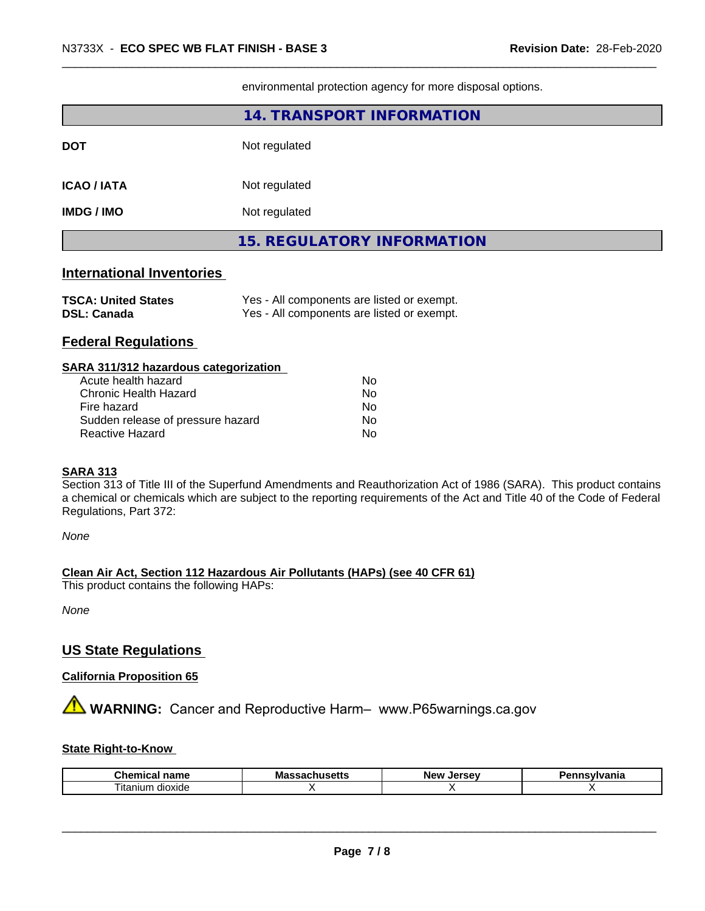|                                                                                                                                                                                                                                | 14. TRANSPORT INFORMATION         |
|--------------------------------------------------------------------------------------------------------------------------------------------------------------------------------------------------------------------------------|-----------------------------------|
| <b>DOT</b>                                                                                                                                                                                                                     | Not regulated                     |
| <b>ICAO / IATA</b>                                                                                                                                                                                                             | Not regulated                     |
| <b>IMDG / IMO</b>                                                                                                                                                                                                              | Not regulated                     |
|                                                                                                                                                                                                                                | <b>15. REGULATORY INFORMATION</b> |
| 그 사람들은 그 사람들은 그 사람들을 지르며 그 사람들을 지르며 그 사람들을 지르며 그 사람들을 지르며 그 사람들을 지르며 그 사람들을 지르며 그 사람들을 지르며 그 사람들을 지르며 그 사람들을 지르며 그 사람들을 지르며 그 사람들을 지르며 그 사람들을 지르며 그 사람들을 지르며 그 사람들을 지르며 그 사람들을 지르며 그 사람들을 지르며 그 사람들을 지르며 그 사람들을 지르며 그 사람들을 지르며 |                                   |

environmental protection agency for more disposal options.

## **International Inventories**

| <b>TSCA: United States</b> | Yes - All components are listed or exempt. |
|----------------------------|--------------------------------------------|
| <b>DSL: Canada</b>         | Yes - All components are listed or exempt. |

# **Federal Regulations**

| SARA 311/312 hazardous categorization |    |  |
|---------------------------------------|----|--|
| Acute health hazard                   | Nο |  |
| Chronic Health Hazard                 | Nο |  |
| Fire hazard                           | Nο |  |
| Sudden release of pressure hazard     | No |  |
| Reactive Hazard                       | No |  |

#### **SARA 313**

Section 313 of Title III of the Superfund Amendments and Reauthorization Act of 1986 (SARA). This product contains a chemical or chemicals which are subject to the reporting requirements of the Act and Title 40 of the Code of Federal Regulations, Part 372:

*None*

**Clean Air Act,Section 112 Hazardous Air Pollutants (HAPs) (see 40 CFR 61)**

This product contains the following HAPs:

*None*

# **US State Regulations**

# **California Proposition 65**

**AVIMARNING:** Cancer and Reproductive Harm– www.P65warnings.ca.gov

# **State Right-to-Know**

| Chemical<br>name    | ''<br>massacnu<br>. | Jersev<br>New | <b>ivlvania</b><br>-- - |
|---------------------|---------------------|---------------|-------------------------|
| litanium<br>dioxide |                     |               |                         |